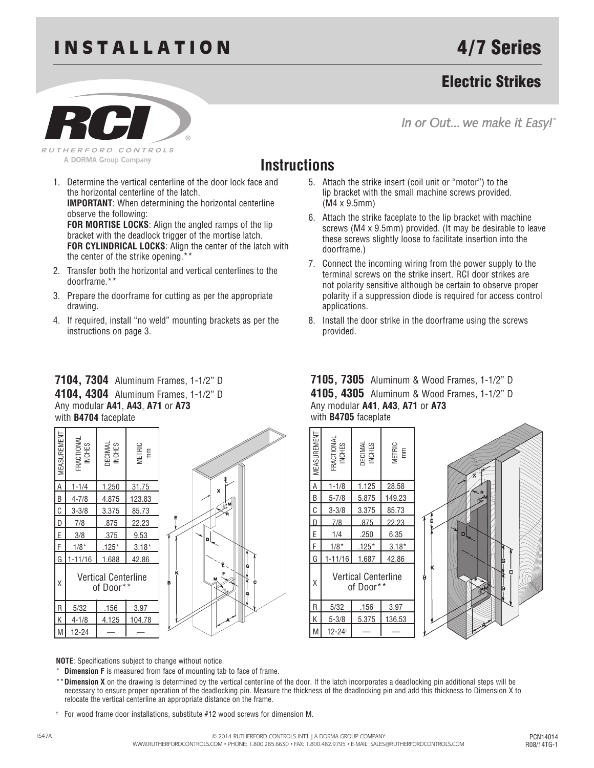# **INSTALLATION**

## Electric Strikes

RUTHERFORD CONTROLS A DORMA Group Company

In or Out... we make it Easy!"

## **Instructions**

- 1. Determine the vertical centerline of the door lock face and the horizontal centerline of the latch. **IMPORTANT**: When determining the horizontal centerline observe the following: **FOR MORTISE LOCKS**: Align the angled ramps of the lip bracket with the deadlock trigger of the mortise latch. **FOR CYLINDRICAL LOCKS**: Align the center of the latch with the center of the strike opening.\*\*
- 2. Transfer both the horizontal and vertical centerlines to the doorframe.\*\*
- 3. Prepare the doorframe for cutting as per the appropriate drawing.
- 4. If required, install "no weld" mounting brackets as per the instructions on page 3.

#### **7104, 7304** Aluminum Frames, 1-1/2" D **4104, 4304** Aluminum Frames, 1-1/2" D Any modular **A41**, **A43**, **A71** or **A73** with **B4704** faceplate



#### 5. Attach the strike insert (coil unit or "motor") to the lip bracket with the small machine screws provided. (M4 x 9.5mm)

- 6. Attach the strike faceplate to the lip bracket with machine screws (M4 x 9.5mm) provided. (It may be desirable to leave these screws slightly loose to facilitate insertion into the doorframe.)
- 7. Connect the incoming wiring from the power supply to the terminal screws on the strike insert. RCI door strikes are not polarity sensitive although be certain to observe proper polarity if a suppression diode is required for access control applications.
- 8. Install the door strike in the doorframe using the screws provided.

#### **7105, 7305** Aluminum & Wood Frames, 1-1/2" D **4105, 4305** Aluminum & Wood Frames, 1-1/2" D Any modular **A41**, **A43**, **A71** or **A73** with **B4705** faceplate



**NOTE**: Specifications subject to change without notice.

- **Dimension F** is measured from face of mounting tab to face of frame.
- \*\***Dimension X** on the drawing is determined by the vertical centerline of the door. If the latch incorporates a deadlocking pin additional steps will be necessary to ensure proper operation of the deadlocking pin. Measure the thickness of the deadlocking pin and add this thickness to Dimension X to relocate the vertical centerline an appropriate distance on the frame.
- † For wood frame door installations, substitute #12 wood screws for dimension M.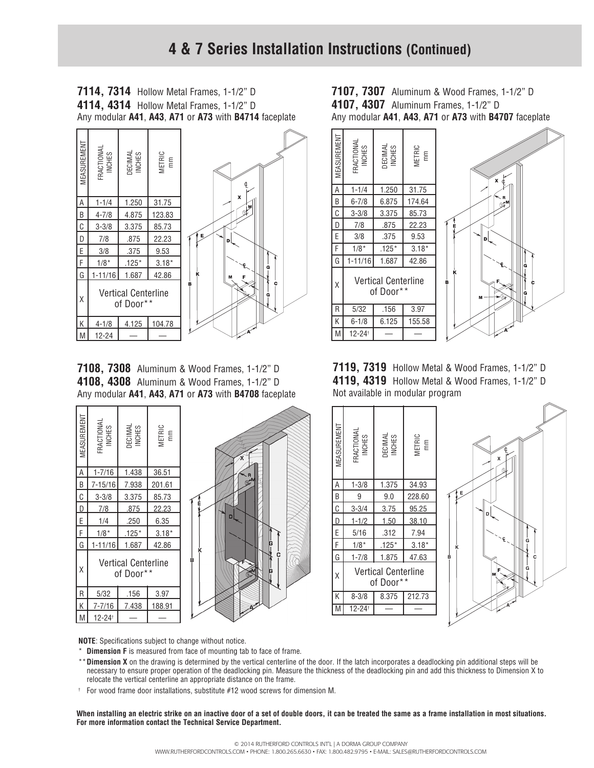**7114, 7314** Hollow Metal Frames, 1-1/2" D **4114, 4314** Hollow Metal Frames, 1-1/2" D Any modular **A41**, **A43**, **A71** or **A73** with **B4714** faceplate



**7108, 7308** Aluminum & Wood Frames, 1-1/2" D **4108, 4308** Aluminum & Wood Frames, 1-1/2" D Any modular **A41**, **A43**, **A71** or **A73** with **B4708** faceplate



**7107, 7307** Aluminum & Wood Frames, 1-1/2" D **4107, 4307** Aluminum Frames, 1-1/2" D Any modular **A41**, **A43**, **A71** or **A73** with **B4707** faceplate



**7119, 7319** Hollow Metal & Wood Frames, 1-1/2" D **4119, 4319** Hollow Metal & Wood Frames, 1-1/2" D Not available in modular program



**NOTE**: Specifications subject to change without notice.

- \* **Dimension F** is measured from face of mounting tab to face of frame.
- \*\***Dimension X** on the drawing is determined by the vertical centerline of the door. If the latch incorporates a deadlocking pin additional steps will be necessary to ensure proper operation of the deadlocking pin. Measure the thickness of the deadlocking pin and add this thickness to Dimension X to relocate the vertical centerline an appropriate distance on the frame.
- † For wood frame door installations, substitute #12 wood screws for dimension M.

**When installing an electric strike on an inactive door of a set of double doors, it can be treated the same as a frame installation in most situations. For more information contact the Technical Service Department.**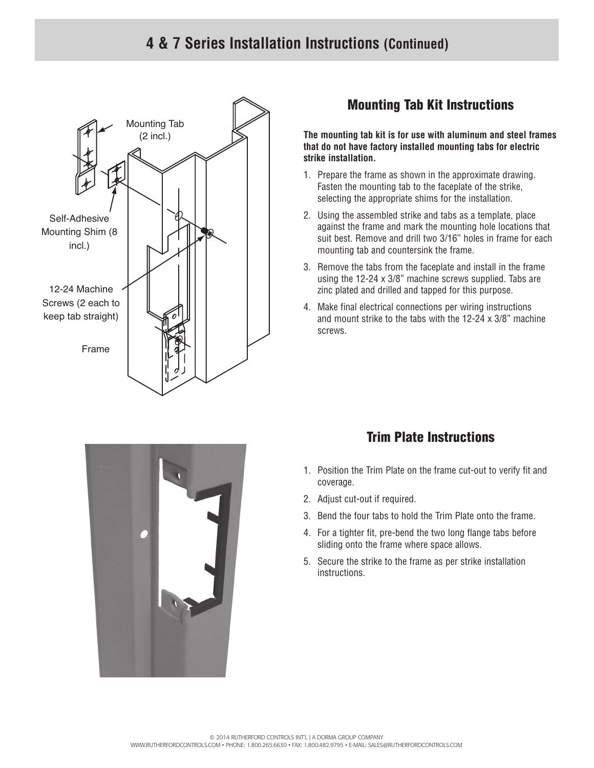### **4 & 7 Series Installation Instructions (Continued)**



### Mounting Tab Kit Instructions

**The mounting tab kit is for use with aluminum and steel frames that do not have factory installed mounting tabs for electric strike installation.**

- 1. Prepare the frame as shown in the approximate drawing. Fasten the mounting tab to the faceplate of the strike, selecting the appropriate shims for the installation.
- 2. Using the assembled strike and tabs as a template, place against the frame and mark the mounting hole locations that suit best. Remove and drill two 3/16" holes in frame for each mounting tab and countersink the frame.
- 3. Remove the tabs from the faceplate and install in the frame using the 12-24 x 3/8" machine screws supplied. Tabs are zinc plated and drilled and tapped for this purpose.
- 4. Make final electrical connections per wiring instructions and mount strike to the tabs with the 12-24 x 3/8" machine screws.



### Trim Plate Instructions

- 1. Position the Trim Plate on the frame cut-out to verify fit and coverage.
- 2. Adjust cut-out if required.
- 3. Bend the four tabs to hold the Trim Plate onto the frame.
- 4. For a tighter fit, pre-bend the two long flange tabs before sliding onto the frame where space allows.
- 5. Secure the strike to the frame as per strike installation instructions.